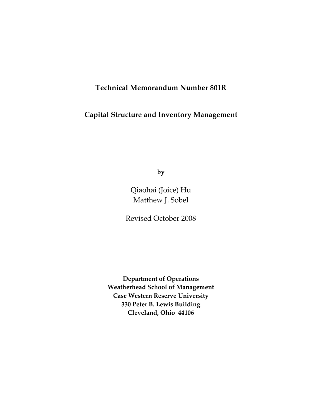### **Technical Memorandum Number 801R**

### **Capital Structure and Inventory Management**

**by**

Qiaohai (Joice) Hu Matthew J. Sobel

Revised October 2008

**Department of Operations Weatherhead School of Management Case Western Reserve University 330 Peter B. Lewis Building Cleveland, Ohio 44106**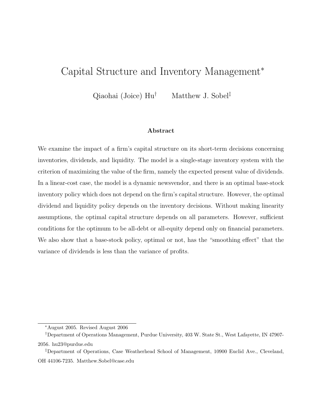# Capital Structure and Inventory Management<sup>∗</sup>

Qiaohai (Joice)  $\text{Hu}^{\dagger}$  Matthew J. Sobel<sup>‡</sup>

### Abstract

We examine the impact of a firm's capital structure on its short-term decisions concerning inventories, dividends, and liquidity. The model is a single-stage inventory system with the criterion of maximizing the value of the firm, namely the expected present value of dividends. In a linear-cost case, the model is a dynamic newsvendor, and there is an optimal base-stock inventory policy which does not depend on the firm's capital structure. However, the optimal dividend and liquidity policy depends on the inventory decisions. Without making linearity assumptions, the optimal capital structure depends on all parameters. However, sufficient conditions for the optimum to be all-debt or all-equity depend only on financial parameters. We also show that a base-stock policy, optimal or not, has the "smoothing effect" that the variance of dividends is less than the variance of profits.

<sup>∗</sup>August 2005. Revised August 2006

<sup>†</sup>Department of Operations Management, Purdue University, 403 W. State St., West Lafayette, IN 47907- 2056. hu23@purdue.edu

<sup>‡</sup>Department of Operations, Case Weatherhead School of Management, 10900 Euclid Ave., Cleveland, OH 44106-7235. Matthew.Sobel@case.edu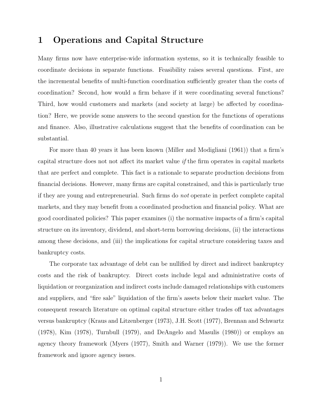### 1 Operations and Capital Structure

Many firms now have enterprise-wide information systems, so it is technically feasible to coordinate decisions in separate functions. Feasibility raises several questions. First, are the incremental benefits of multi-function coordination sufficiently greater than the costs of coordination? Second, how would a firm behave if it were coordinating several functions? Third, how would customers and markets (and society at large) be affected by coordination? Here, we provide some answers to the second question for the functions of operations and finance. Also, illustrative calculations suggest that the benefits of coordination can be substantial.

For more than 40 years it has been known (Miller and Modigliani (1961)) that a firm's capital structure does not not affect its market value if the firm operates in capital markets that are perfect and complete. This fact is a rationale to separate production decisions from financial decisions. However, many firms are capital constrained, and this is particularly true if they are young and entrepreneurial. Such firms do not operate in perfect complete capital markets, and they may benefit from a coordinated production and financial policy. What are good coordinated policies? This paper examines (i) the normative impacts of a firm's capital structure on its inventory, dividend, and short-term borrowing decisions, (ii) the interactions among these decisions, and (iii) the implications for capital structure considering taxes and bankruptcy costs.

The corporate tax advantage of debt can be nullified by direct and indirect bankruptcy costs and the risk of bankruptcy. Direct costs include legal and administrative costs of liquidation or reorganization and indirect costs include damaged relationships with customers and suppliers, and "fire sale" liquidation of the firm's assets below their market value. The consequent research literature on optimal capital structure either trades off tax advantages versus bankruptcy (Kraus and Litzenberger (1973), J.H. Scott (1977), Brennan and Schwartz (1978), Kim (1978), Turnbull (1979), and DeAngelo and Masulis (1980)) or employs an agency theory framework (Myers (1977), Smith and Warner (1979)). We use the former framework and ignore agency issues.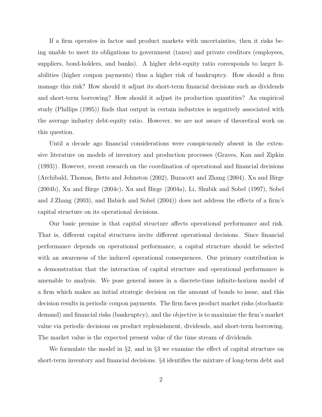If a firm operates in factor and product markets with uncertainties, then it risks being unable to meet its obligations to government (taxes) and private creditors (employees, suppliers, bond-holders, and banks). A higher debt-equity ratio corresponds to larger liabilities (higher coupon payments) thus a higher risk of bankruptcy. How should a firm manage this risk? How should it adjust its short-term financial decisions such as dividends and short-term borrowing? How should it adjust its production quantities? An empirical study (Phillips (1995)) finds that output in certain industries is negatively associated with the average industry debt-equity ratio. However, we are not aware of theoretical work on this question.

Until a decade ago financial considerations were conspicuously absent in the extensive literature on models of inventory and production processes (Graves, Kan and Zipkin (1993)). However, recent research on the coordination of operational and financial decisions (Archibald, Thomas, Betts and Johnston (2002), Buzacott and Zhang (2004), Xu and Birge (2004b), Xu and Birge (2004c), Xu and Birge (2004a), Li, Shubik and Sobel (1997), Sobel and J.Zhang (2003), and Babich and Sobel (2004)) does not address the effects of a firm's capital structure on its operational decisions.

Our basic premise is that capital structure affects operational performance and risk. That is, different capital structures invite different operational decisions. Since financial performance depends on operational performance, a capital structure should be selected with an awareness of the induced operational consequences. Our primary contribution is a demonstration that the interaction of capital structure and operational performance is amenable to analysis. We pose general issues in a discrete-time infinite-horizon model of a firm which makes an initial strategic decision on the amount of bonds to issue, and this decision results in periodic coupon payments. The firm faces product market risks (stochastic demand) and financial risks (bankruptcy), and the objective is to maximize the firm's market value via periodic decisions on product replenishment, dividends, and short-term borrowing. The market value is the expected present value of the time stream of dividends.

We formulate the model in §2, and in §3 we examine the effect of capital structure on short-term inventory and financial decisions. §4 identifies the mixture of long-term debt and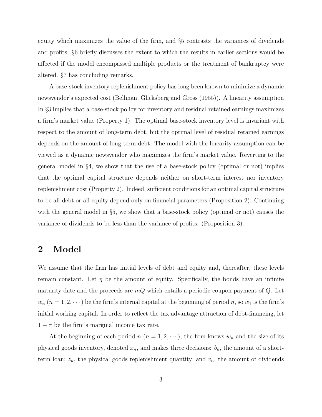equity which maximizes the value of the firm, and §5 contrasts the variances of dividends and profits. §6 briefly discusses the extent to which the results in earlier sections would be affected if the model encompassed multiple products or the treatment of bankruptcy were altered. §7 has concluding remarks.

A base-stock inventory replenishment policy has long been known to minimize a dynamic newsvendor's expected cost (Bellman, Glicksberg and Gross (1955)). A linearity assumption In §3 implies that a base-stock policy for inventory and residual retained earnings maximizes a firm's market value (Property 1). The optimal base-stock inventory level is invariant with respect to the amount of long-term debt, but the optimal level of residual retained earnings depends on the amount of long-term debt. The model with the linearity assumption can be viewed as a dynamic newsvendor who maximizes the firm's market value. Reverting to the general model in §4, we show that the use of a base-stock policy (optimal or not) implies that the optimal capital structure depends neither on short-term interest nor inventory replenishment cost (Property 2). Indeed, sufficient conditions for an optimal capital structure to be all-debt or all-equity depend only on financial parameters (Proposition 2). Continuing with the general model in §5, we show that a base-stock policy (optimal or not) causes the variance of dividends to be less than the variance of profits. (Proposition 3).

### 2 Model

We assume that the firm has initial levels of debt and equity and, thereafter, these levels remain constant. Let  $\eta$  be the amount of equity. Specifically, the bonds have an infinite maturity date and the proceeds are  $mQ$  which entails a periodic coupon payment of  $Q$ . Let  $w_n$   $(n = 1, 2, \dots)$  be the firm's internal capital at the beginning of period n, so  $w_1$  is the firm's initial working capital. In order to reflect the tax advantage attraction of debt-financing, let  $1 - \tau$  be the firm's marginal income tax rate.

At the beginning of each period n  $(n = 1, 2, \dots)$ , the firm knows  $w_n$  and the size of its physical goods inventory, denoted  $x_n$ , and makes three decisions:  $b_n$ , the amount of a shortterm loan;  $z_n$ , the physical goods replenishment quantity; and  $v_n$ , the amount of dividends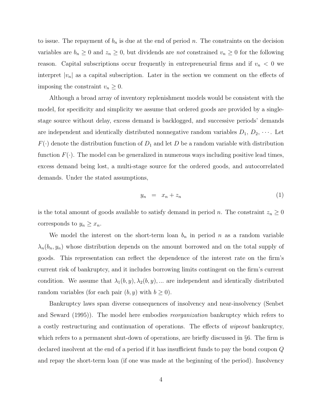to issue. The repayment of  $b_n$  is due at the end of period n. The constraints on the decision variables are  $b_n \geq 0$  and  $z_n \geq 0$ , but dividends are *not* constrained  $v_n \geq 0$  for the following reason. Capital subscriptions occur frequently in entrepreneurial firms and if  $v_n < 0$  we interpret  $|v_n|$  as a capital subscription. Later in the section we comment on the effects of imposing the constraint  $v_n \geq 0$ .

Although a broad array of inventory replenishment models would be consistent with the model, for specificity and simplicity we assume that ordered goods are provided by a singlestage source without delay, excess demand is backlogged, and successive periods' demands are independent and identically distributed nonnegative random variables  $D_1, D_2, \cdots$ . Let  $F(\cdot)$  denote the distribution function of  $D_1$  and let D be a random variable with distribution function  $F(\cdot)$ . The model can be generalized in numerous ways including positive lead times, excess demand being lost, a multi-stage source for the ordered goods, and autocorrelated demands. Under the stated assumptions,

$$
y_n = x_n + z_n \tag{1}
$$

is the total amount of goods available to satisfy demand in period n. The constraint  $z_n \geq 0$ corresponds to  $y_n \geq x_n$ .

We model the interest on the short-term loan  $b_n$  in period n as a random variable  $\lambda_n(b_n, y_n)$  whose distribution depends on the amount borrowed and on the total supply of goods. This representation can reflect the dependence of the interest rate on the firm's current risk of bankruptcy, and it includes borrowing limits contingent on the firm's current condition. We assume that  $\lambda_1(b, y), \lambda_2(b, y), \dots$  are independent and identically distributed random variables (for each pair  $(b, y)$  with  $b \ge 0$ ).

Bankruptcy laws span diverse consequences of insolvency and near-insolvency (Senbet and Seward (1995)). The model here embodies reorganization bankruptcy which refers to a costly restructuring and continuation of operations. The effects of wipeout bankruptcy, which refers to a permanent shut-down of operations, are briefly discussed in  $\S6$ . The firm is declared insolvent at the end of a period if it has insufficient funds to pay the bond coupon Q and repay the short-term loan (if one was made at the beginning of the period). Insolvency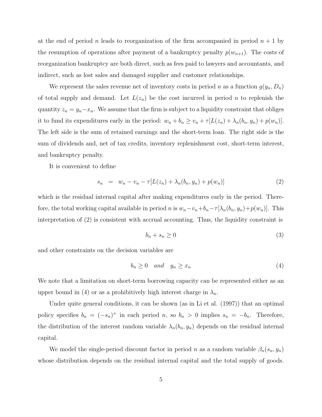at the end of period n leads to reorganization of the firm accompanied in period  $n + 1$  by the resumption of operations after payment of a bankruptcy penalty  $p(w_{n+1})$ . The costs of reorganization bankruptcy are both direct, such as fees paid to lawyers and accountants, and indirect, such as lost sales and damaged supplier and customer relationships.

We represent the sales revenue net of inventory costs in period n as a function  $g(y_n, D_n)$ of total supply and demand. Let  $L(z_n)$  be the cost incurred in period n to replenish the quantity  $z_n = y_n - x_n$ . We assume that the firm is subject to a liquidity constraint that obliges it to fund its expenditures early in the period:  $w_n + b_n \ge v_n + \tau [L(z_n) + \lambda_n(b_n, y_n) + p(w_n)].$ The left side is the sum of retained earnings and the short-term loan. The right side is the sum of dividends and, net of tax credits, inventory replenishment cost, short-term interest, and bankruptcy penalty.

It is convenient to define

$$
s_n = w_n - v_n - \tau [L(z_n) + \lambda_n(b_n, y_n) + p(w_n)] \tag{2}
$$

which is the residual internal capital after making expenditures early in the period. Therefore, the total working capital available in period n is  $w_n-v_n+b_n-\tau[\lambda_n(b_n, y_n)+p(w_n)]$ . This interpretation of (2) is consistent with accrual accounting. Thus, the liquidity constraint is

$$
b_n + s_n \ge 0 \tag{3}
$$

and other constraints on the decision variables are

$$
b_n \ge 0 \quad and \quad y_n \ge x_n \tag{4}
$$

We note that a limitation on short-term borrowing capacity can be represented either as an upper bound in (4) or as a prohibitively high interest charge in  $\lambda_n$ .

Under quite general conditions, it can be shown (as in Li et al. (1997)) that an optimal policy specifies  $b_n = (-s_n)^+$  in each period n, so  $b_n > 0$  implies  $s_n = -b_n$ . Therefore, the distribution of the interest random variable  $\lambda_n(b_n, y_n)$  depends on the residual internal capital.

We model the single-period discount factor in period n as a random variable  $\beta_n(s_n, y_n)$ whose distribution depends on the residual internal capital and the total supply of goods.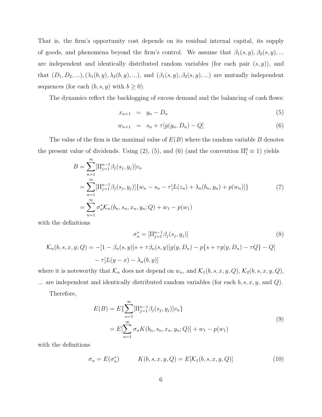That is, the firm's opportunity cost depends on its residual internal capital, its supply of goods, and phenomena beyond the firm's control. We assume that  $\beta_1(s, y), \beta_2(s, y), \dots$ are independent and identically distributed random variables (for each pair  $(s, y)$ ), and that  $(D_1, D_2, \ldots), (\lambda_1(b, y), \lambda_2(b, y), \ldots)$ , and  $(\beta_1(s, y), \beta_2(s, y), \ldots)$  are mutually independent sequences (for each  $(b, s, y)$  with  $b \ge 0$ ).

The dynamics reflect the backlogging of excess demand and the balancing of cash flows:

$$
x_{n+1} = y_n - D_n \tag{5}
$$

$$
w_{n+1} = s_n + \tau[g(y_n, D_n) - Q] \tag{6}
$$

The value of the firm is the maximal value of  $E(B)$  where the random variable B denotes the present value of dividends. Using (2), (5), and (6) (and the convention  $\Pi_1^0 \equiv 1$ ) yields

$$
B = \sum_{n=1}^{\infty} [\Pi_{j=1}^{n-1} \beta_j(s_j, y_j)] v_n
$$
  
= 
$$
\sum_{n=1}^{\infty} [\Pi_{j=1}^{n-1} \beta_j(s_j, y_j)] \{w_n - s_n - \tau [L(z_n) + \lambda_n(b_n, y_n) + p(w_n)]\}
$$
  
= 
$$
\sum_{n=1}^{\infty} \sigma_n^* \mathcal{K}_n(b_n, s_n, x_n, y_n; Q) + w_1 - p(w_1)
$$
 (7)

with the definitions

$$
\sigma_n^* = [\Pi_{j=1}^{n-1} \beta_j(s_j, y_j)]
$$
(8)  

$$
\mathcal{K}_n(b, s, x, y; Q) = -[1 - \beta_n(s, y)]s + \tau \beta_n(s, y)[g(y, D_n) - p\{s + \tau g(y, D_n) - \tau Q\} - Q]
$$

$$
- \tau [L(y - x) - \lambda_n(b, y)]
$$

where it is noteworthy that  $\mathcal{K}_n$  does not depend on  $w_n$ , and  $\mathcal{K}_1(b, s, x, y, Q)$ ,  $\mathcal{K}_2(b, s, x, y, Q)$ , ... are independent and identically distributed random variables (for each  $b, s, x, y$ , and  $Q$ ).

Therefore,

$$
E(B) = E\{\sum_{n=1}^{\infty} [\Pi_{j=1}^{n-1} \beta_j(s_j, y_j)] v_n\}
$$
  
= 
$$
E[\sum_{n=1}^{\infty} \sigma_n K(b_n, s_n, x_n, y_n; Q)] + w_1 - p(w_1)
$$
 (9)

with the definitions

$$
\sigma_n = E(\sigma_n^*) \qquad K(b, s, x, y, Q) = E[K_1(b, s, x, y, Q)] \qquad (10)
$$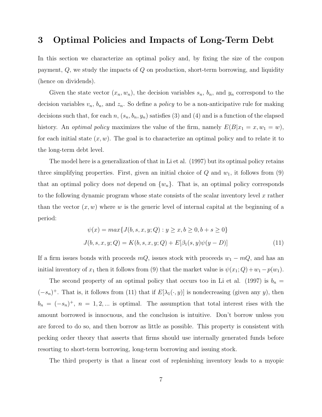### 3 Optimal Policies and Impacts of Long-Term Debt

In this section we characterize an optimal policy and, by fixing the size of the coupon payment,  $Q$ , we study the impacts of  $Q$  on production, short-term borrowing, and liquidity (hence on dividends).

Given the state vector  $(x_n, w_n)$ , the decision variables  $s_n$ ,  $b_n$ , and  $y_n$  correspond to the decision variables  $v_n$ ,  $b_n$ , and  $z_n$ . So define a *policy* to be a non-anticipative rule for making decisions such that, for each n,  $(s_n, b_n, y_n)$  satisfies (3) and (4) and is a function of the elapsed history. An *optimal policy* maximizes the value of the firm, namely  $E(B|x_1 = x, w_1 = w)$ , for each initial state  $(x, w)$ . The goal is to characterize an optimal policy and to relate it to the long-term debt level.

The model here is a generalization of that in Li et al. (1997) but its optimal policy retains three simplifying properties. First, given an initial choice of  $Q$  and  $w_1$ , it follows from  $(9)$ that an optimal policy does *not* depend on  $\{w_n\}$ . That is, an optimal policy corresponds to the following dynamic program whose state consists of the scalar inventory level  $x$  rather than the vector  $(x, w)$  where w is the generic level of internal capital at the beginning of a period:

$$
\psi(x) = \max\{J(b, s, x, y; Q) : y \ge x, b \ge 0, b + s \ge 0\}
$$
  

$$
J(b, s, x, y; Q) = K(b, s, x, y; Q) + E[\beta_1(s, y)\psi(y - D)]
$$
 (11)

If a firm issues bonds with proceeds  $mQ$ , issues stock with proceeds  $w_1 - mQ$ , and has an initial inventory of  $x_1$  then it follows from (9) that the market value is  $\psi(x_1; Q) + w_1 - p(w_1)$ .

The second property of an optimal policy that occurs too in Li et al. (1997) is  $b_n =$  $(-s_n)^+$ . That is, it follows from (11) that if  $E[\lambda_1(\cdot, y)]$  is nondecreasing (given any y), then  $b_n = (-s_n)^+, n = 1, 2, ...$  is optimal. The assumption that total interest rises with the amount borrowed is innocuous, and the conclusion is intuitive. Don't borrow unless you are forced to do so, and then borrow as little as possible. This property is consistent with pecking order theory that asserts that firms should use internally generated funds before resorting to short-term borrowing, long-term borrowing and issuing stock.

The third property is that a linear cost of replenishing inventory leads to a myopic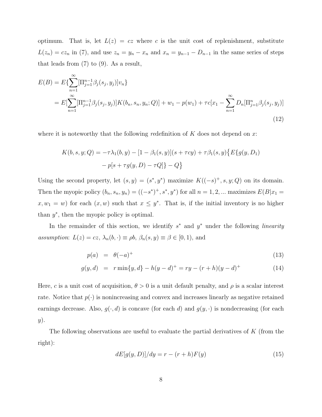optimum. That is, let  $L(z) = cz$  where c is the unit cost of replenishment, substitute  $L(z_n) = cz_n$  in (7), and use  $z_n = y_n - x_n$  and  $x_n = y_{n-1} - D_{n-1}$  in the same series of steps that leads from (7) to (9). As a result,

$$
E(B) = E\{\sum_{n=1}^{\infty} [\Pi_{j=1}^{n-1} \beta_j(s_j, y_j)] v_n\}
$$
  
= 
$$
E[\sum_{n=1}^{\infty} [\Pi_{j=1}^{n-1} \beta_j(s_j, y_j)] K(b_n, s_n, y_n; Q)] + w_1 - p(w_1) + \tau c[x_1 - \sum_{n=1}^{\infty} D_n [\Pi_{j=1}^{n} \beta_j(s_j, y_j)]
$$
(12)

where it is noteworthy that the following redefinition of  $K$  does not depend on x:

$$
K(b, s, y; Q) = -\tau \lambda_1(b, y) - [1 - \beta_1(s, y)](s + \tau c y) + \tau \beta_1(s, y) \{ E\{ g(y, D_1) - p[s + \tau g(y, D) - \tau Q] \} - Q \}
$$

Using the second property, let  $(s, y) = (s^*, y^*)$  maximize  $K((-s)^+, s, y; Q)$  on its domain. Then the myopic policy  $(b_n, s_n, y_n) = ((-s^*)^+, s^*, y^*)$  for all  $n = 1, 2, ...$  maximizes  $E(B|x_1 =$  $x, w_1 = w$  for each  $(x, w)$  such that  $x \leq y^*$ . That is, if the initial inventory is no higher than  $y^*$ , then the myopic policy is optimal.

In the remainder of this section, we identify  $s^*$  and  $y^*$  under the following *linearity* assumption:  $L(z) = cz$ ,  $\lambda_n(b, \cdot) \equiv \rho b$ ,  $\beta_n(s, y) \equiv \beta \in [0, 1)$ , and

$$
p(a) = \theta(-a)^{+} \tag{13}
$$

$$
g(y, d) = r \min\{y, d\} - h(y - d)^{+} = ry - (r + h)(y - d)^{+}
$$
 (14)

Here, c is a unit cost of acquisition,  $\theta > 0$  is a unit default penalty, and  $\rho$  is a scalar interest rate. Notice that  $p(\cdot)$  is nonincreasing and convex and increases linearly as negative retained earnings decrease. Also,  $g(\cdot, d)$  is concave (for each d) and  $g(y, \cdot)$  is nondecreasing (for each  $y)$ .

The following observations are useful to evaluate the partial derivatives of  $K$  (from the right):

$$
dE[g(y, D)]/dy = r - (r + h)F(y)
$$
\n
$$
(15)
$$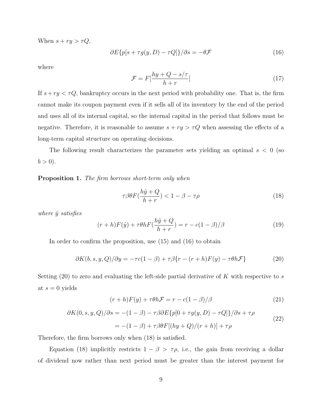When  $s + ry > \tau Q$ ,

$$
\partial E\{p[s + \tau g(y, D) - \tau Q]\}/\partial s = -\theta \mathcal{F}
$$
\n(16)

where

$$
\mathcal{F} = F\left[\frac{hy + Q - s/\tau}{h + r}\right] \tag{17}
$$

If  $s + ry < \tau Q$ , bankruptcy occurs in the next period with probability one. That is, the firm cannot make its coupon payment even if it sells all of its inventory by the end of the period and uses all of its internal capital, so the internal capital in the period that follows must be negative. Therefore, it is reasonable to assume  $s + ry > \tau Q$  when assessing the effects of a long-term capital structure on operating decisions.

The following result characterizes the parameter sets yielding an optimal  $s < 0$  (so  $b > 0$ ).

**Proposition 1.** The firm borrows short-term only when

$$
\tau \beta \theta F(\frac{h\hat{y} + Q}{h + r}) < 1 - \beta - \tau \rho \tag{18}
$$

where  $\hat{y}$  satisfies

$$
(r+h)F(\hat{y}) + \tau \theta h F(\frac{h\hat{y} + Q}{h+r}) = r - c(1-\beta)/\beta
$$
\n(19)

In order to confirm the proposition, use (15) and (16) to obtain

$$
\partial K(b,s,y,Q)/\partial y = -\tau c(1-\beta) + \tau \beta \{r - (r+h)F(y) - \tau \theta h \mathcal{F}\}\tag{20}
$$

Setting  $(20)$  to zero and evaluating the left-side partial derivative of K with respective to s at  $s = 0$  yields

$$
(r+h)F(y) + \tau \theta h \mathcal{F} = r - c(1-\beta)/\beta \tag{21}
$$

$$
\partial K(0, s, y, Q)/\partial s = -(1 - \beta) - \tau \beta \partial E \{p[0 + \tau g(y, D) - \tau Q]\}/\partial s + \tau \rho
$$
  
= -(1 - \beta) + \tau \beta \theta F[(hy + Q)/(r + h)] + \tau \rho (22)

Therefore, the firm borrows only when (18) is satisfied.

Equation (18) implicitly restricts  $1 - \beta > \tau \rho$ , i.e., the gain from receiving a dollar of dividend now rather than next period must be greater than the interest payment for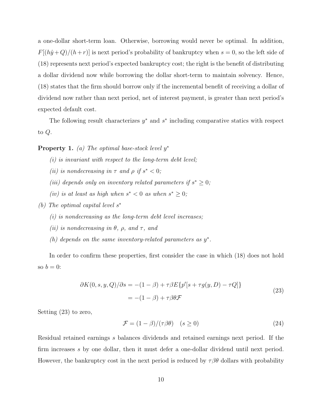a one-dollar short-term loan. Otherwise, borrowing would never be optimal. In addition,  $F[(h\hat{y}+Q)/(h+r)]$  is next period's probability of bankruptcy when  $s=0$ , so the left side of (18) represents next period's expected bankruptcy cost; the right is the benefit of distributing a dollar dividend now while borrowing the dollar short-term to maintain solvency. Hence, (18) states that the firm should borrow only if the incremental benefit of receiving a dollar of dividend now rather than next period, net of interest payment, is greater than next period's expected default cost.

The following result characterizes  $y^*$  and  $s^*$  including comparative statics with respect to Q.

**Property 1.** (a) The optimal base-stock level  $y^*$ 

- $(i)$  is invariant with respect to the long-term debt level;
- (ii) is nondecreasing in  $\tau$  and  $\rho$  if  $s^* < 0$ ;
- (iii) depends only on inventory related parameters if  $s^* \geq 0$ ;
- (iv) is at least as high when  $s^* < 0$  as when  $s^* \geq 0$ ;
- (b) The optimal capital level s ∗
	- $(i)$  is nondecreasing as the long-term debt level increases;
	- (ii) is nondecreasing in  $\theta$ ,  $\rho$ , and  $\tau$ , and
	- (h) depends on the same inventory-related parameters as  $y^*$ .

In order to confirm these properties, first consider the case in which (18) does not hold so  $b = 0$ :

$$
\partial K(0, s, y, Q)/\partial s = -(1 - \beta) + \tau \beta E\{p'[s + \tau g(y, D) - \tau Q]\}
$$
  
= -(1 - \beta) + \tau \beta \theta \mathcal{F} (23)

Setting (23) to zero,

$$
\mathcal{F} = (1 - \beta) / (\tau \beta \theta) \quad (s \ge 0)
$$
\n(24)

Residual retained earnings s balances dividends and retained earnings next period. If the firm increases s by one dollar, then it must defer a one-dollar dividend until next period. However, the bankruptcy cost in the next period is reduced by  $\tau \beta \theta$  dollars with probability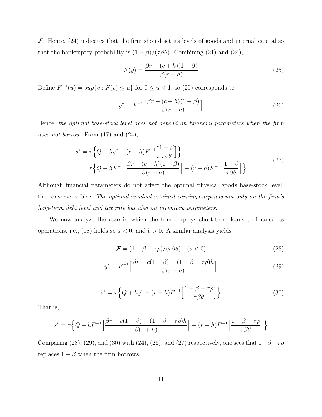$\mathcal F$ . Hence, (24) indicates that the firm should set its levels of goods and internal capital so that the bankruptcy probability is  $(1 - \beta)/(\tau \beta \theta)$ . Combining (21) and (24),

$$
F(y) = \frac{\beta r - (c+h)(1-\beta)}{\beta(r+h)}
$$
\n(25)

Define  $F^{-1}(u) = \sup\{v : F(v) \leq u\}$  for  $0 \leq u < 1$ , so (25) corresponds to

$$
y^* = F^{-1} \left[ \frac{\beta r - (c+h)(1-\beta)}{\beta(r+h)} \right]
$$
 (26)

Hence, the optimal base-stock level does not depend on financial parameters when the firm does not borrow. From  $(17)$  and  $(24)$ ,

$$
s^* = \tau \left\{ Q + hy^* - (r+h)F^{-1} \left[ \frac{1-\beta}{\tau \beta \theta} \right] \right\}
$$
  
=  $\tau \left\{ Q + hF^{-1} \left[ \frac{\beta r - (c+h)(1-\beta)}{\beta(r+h)} \right] - (r+h)F^{-1} \left[ \frac{1-\beta}{\tau \beta \theta} \right] \right\}$  (27)

Although financial parameters do not affect the optimal physical goods base-stock level, the converse is false. The optimal residual retained earnings depends not only on the firm's long-term debt level and tax rate but also on inventory parameters.

We now analyze the case in which the firm employs short-term loans to finance its operations, i.e., (18) holds so  $s < 0$ , and  $b > 0$ . A similar analysis yields

$$
\mathcal{F} = (1 - \beta - \tau \rho) / (\tau \beta \theta) \quad (s < 0) \tag{28}
$$

$$
y^* = F^{-1} \left[ \frac{\beta r - c(1 - \beta) - (1 - \beta - \tau \rho) h}{\beta (r + h)} \right]
$$
 (29)

$$
s^* = \tau \left\{ Q + hy^* - (r+h)F^{-1} \left[ \frac{1 - \beta - \tau \rho}{\tau \beta \theta} \right] \right\} \tag{30}
$$

That is,

$$
s^* = \tau \Big\{ Q + hF^{-1} \Big[ \frac{\beta r - c(1 - \beta) - (1 - \beta - \tau \rho)h}{\beta(r + h)} \Big] - (r + h)F^{-1} \Big[ \frac{1 - \beta - \tau \rho}{\tau \beta \theta} \Big] \Big\}
$$

Comparing (28), (29), and (30) with (24), (26), and (27) respectively, one sees that  $1-\beta-\tau\rho$ replaces  $1 - \beta$  when the firm borrows.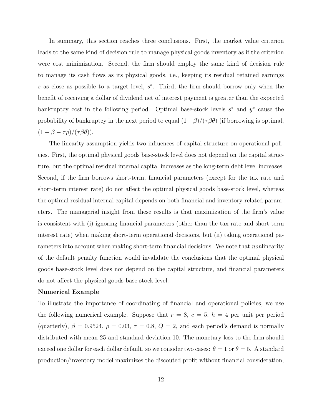In summary, this section reaches three conclusions. First, the market value criterion leads to the same kind of decision rule to manage physical goods inventory as if the criterion were cost minimization. Second, the firm should employ the same kind of decision rule to manage its cash flows as its physical goods, i.e., keeping its residual retained earnings s as close as possible to a target level,  $s^*$ . Third, the firm should borrow only when the benefit of receiving a dollar of dividend net of interest payment is greater than the expected bankruptcy cost in the following period. Optimal base-stock levels  $s^*$  and  $y^*$  cause the probability of bankruptcy in the next period to equal  $(1-\beta)/(\tau \beta \theta)$  (if borrowing is optimal,  $(1 - \beta - \tau \rho) / (\tau \beta \theta)).$ 

The linearity assumption yields two influences of capital structure on operational policies. First, the optimal physical goods base-stock level does not depend on the capital structure, but the optimal residual internal capital increases as the long-term debt level increases. Second, if the firm borrows short-term, financial parameters (except for the tax rate and short-term interest rate) do not affect the optimal physical goods base-stock level, whereas the optimal residual internal capital depends on both financial and inventory-related parameters. The managerial insight from these results is that maximization of the firm's value is consistent with (i) ignoring financial parameters (other than the tax rate and short-term interest rate) when making short-term operational decisions, but (ii) taking operational parameters into account when making short-term financial decisions. We note that *non*linearity of the default penalty function would invalidate the conclusions that the optimal physical goods base-stock level does not depend on the capital structure, and financial parameters do not affect the physical goods base-stock level.

#### Numerical Example

To illustrate the importance of coordinating of financial and operational policies, we use the following numerical example. Suppose that  $r = 8$ ,  $c = 5$ ,  $h = 4$  per unit per period (quarterly),  $\beta = 0.9524$ ,  $\rho = 0.03$ ,  $\tau = 0.8$ ,  $Q = 2$ , and each period's demand is normally distributed with mean 25 and standard deviation 10. The monetary loss to the firm should exceed one dollar for each dollar default, so we consider two cases:  $\theta = 1$  or  $\theta = 5$ . A standard production/inventory model maximizes the discouted profit without financial consideration,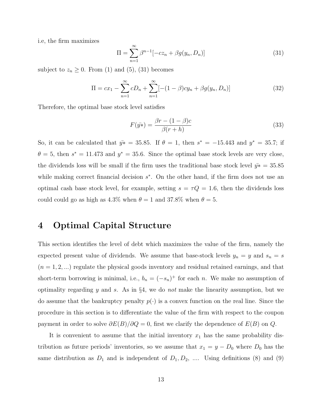i.e, the firm maximizes

$$
\Pi = \sum_{n=1}^{\infty} \beta^{n-1} [-cz_n + \beta g(y_n, D_n)]
$$
\n(31)

subject to  $z_n \geq 0$ . From (1) and (5), (31) becomes

$$
\Pi = cx_1 - \sum_{n=1}^{\infty} cD_n + \sum_{n=1}^{\infty} [-(1-\beta)cy_n + \beta g(y_n, D_n)]
$$
\n(32)

Therefore, the optimal base stock level satisfies

$$
F(\bar{y*}) = \frac{\beta r - (1 - \beta)c}{\beta(r + h)}
$$
\n(33)

So, it can be calculated that  $\bar{y*} = 35.85$ . If  $\theta = 1$ , then  $s^* = -15.443$  and  $y^* = 35.7$ ; if  $\theta = 5$ , then  $s^* = 11.473$  and  $y^* = 35.6$ . Since the optimal base stock levels are very close, the dividends loss will be small if the firm uses the traditional base stock level  $\bar{y}∗ = 35.85$ while making correct financial decision  $s^*$ . On the other hand, if the firm does not use an optimal cash base stock level, for example, setting  $s = \tau Q = 1.6$ , then the dividends loss could could go as high as 4.3% when  $\theta = 1$  and 37.8% when  $\theta = 5$ .

## 4 Optimal Capital Structure

This section identifies the level of debt which maximizes the value of the firm, namely the expected present value of dividends. We assume that base-stock levels  $y_n = y$  and  $s_n = s$  $(n = 1, 2, ...)$  regulate the physical goods inventory and residual retained earnings, and that short-term borrowing is minimal, i.e.,  $b_n = (-s_n)^+$  for each n. We make no assumption of optimality regarding y and s. As in  $\S4$ , we do not make the linearity assumption, but we do assume that the bankruptcy penalty  $p(\cdot)$  is a convex function on the real line. Since the procedure in this section is to differentiate the value of the firm with respect to the coupon payment in order to solve  $\partial E(B)/\partial Q = 0$ , first we clarify the dependence of  $E(B)$  on Q.

It is convenient to assume that the initial inventory  $x_1$  has the same probability distribution as future periods' inventories, so we assume that  $x_1 = y - D_0$  where  $D_0$  has the same distribution as  $D_1$  and is independent of  $D_1, D_2, \ldots$ . Using definitions (8) and (9)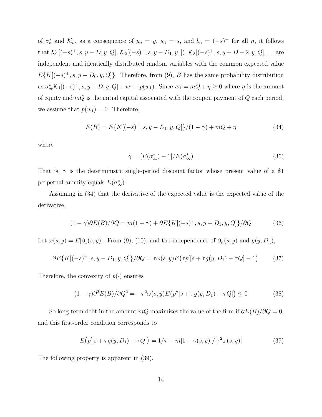of  $\sigma_n^*$  and  $\mathcal{K}_n$ , as a consequence of  $y_n = y$ ,  $s_n = s$ , and  $b_n = (-s)^+$  for all n, it follows that  $\mathcal{K}_1[(-s)^+, s, y - D, y, Q], \mathcal{K}_2[(-s)^+, s, y - D_1, y, ]), \mathcal{K}_3[(-s)^+, s, y - D - 2, y, Q], \dots$  are independent and identically distributed random variables with the common expected value  $E\{K[(-s)^{+}, s, y - D_0, y, Q]\}.$  Therefore, from (9), B has the same probability distribution as  $\sigma_{\infty}^* \mathcal{K}_1[(-s)^+, s, y - D, y, Q] + w_1 - p(w_1)$ . Since  $w_1 = mQ + \eta \geq 0$  where  $\eta$  is the amount of equity and  $mQ$  is the initial capital associated with the coupon payment of  $Q$  each period, we assume that  $p(w_1) = 0$ . Therefore,

$$
E(B) = E\{K[(-s)^{+}, s, y - D_1, y, Q]\}/(1 - \gamma) + mQ + \eta
$$
\n(34)

where

$$
\gamma = [E(\sigma^*_{\infty}) - 1]/E(\sigma^*_{\infty})
$$
\n(35)

That is,  $\gamma$  is the deterministic single-period discount factor whose present value of a \$1 perpetual annuity equals  $E(\sigma_{\infty}^*).$ 

Assuming in (34) that the derivative of the expected value is the expected value of the derivative,

$$
(1 - \gamma)\partial E(B)/\partial Q = m(1 - \gamma) + \partial E\{K[(-s)^{+}, s, y - D_1, y, Q]\}/\partial Q \tag{36}
$$

Let  $\omega(s, y) = E[\beta_1(s, y)]$ . From (9), (10), and the independence of  $\beta_n(s, y)$  and  $g(y, D_n)$ ,

$$
\partial E\{K[(-s)^{+}, s, y - D_1, y, Q]\}/\partial Q = \tau \omega(s, y) E(\tau p'[s + \tau g(y, D_1) - \tau Q] - 1)
$$
 (37)

Therefore, the convexity of  $p(\cdot)$  ensures

$$
(1 - \gamma)\partial^2 E(B)/\partial Q^2 = -\tau^2 \omega(s, y) E(p''[s + \tau g(y, D_1) - \tau Q]) \le 0
$$
\n(38)

So long-term debt in the amount mQ maximizes the value of the firm if  $\partial E(B)/\partial Q = 0$ , and this first-order condition corresponds to

$$
E(p'[s + \tau g(y, D_1) - \tau Q]) = 1/\tau - m[1 - \gamma(s, y)]/[\tau^2 \omega(s, y)]
$$
\n(39)

The following property is apparent in (39).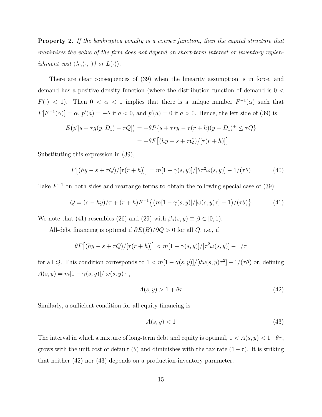**Property 2.** If the bankruptcy penalty is a convex function, then the capital structure that maximizes the value of the firm does not depend on short-term interest or inventory replenishment cost  $(\lambda_n(\cdot, \cdot))$  or  $L(\cdot))$ .

There are clear consequences of (39) when the linearity assumption is in force, and demand has a positive density function (where the distribution function of demand is 0 <  $F(\cdot)$  < 1). Then  $0 < \alpha < 1$  implies that there is a unique number  $F^{-1}(\alpha)$  such that  $F[F^{-1}(\alpha)] = \alpha$ ,  $p'(a) = -\theta$  if  $a < 0$ , and  $p'(a) = 0$  if  $a > 0$ . Hence, the left side of (39) is

$$
E(p'[s + \tau g(y, D_1) - \tau Q]) = -\theta P\{s + \tau ry - \tau(r+h)(y - D_1)^{+} \leq \tau Q\}
$$

$$
= -\theta F[(hy - s + \tau Q)/[\tau(r+h)]]
$$

Substituting this expression in (39),

$$
F[(hy - s + \tau Q)/[\tau(r+h)]] = m[1 - \gamma(s, y)]/[\theta \tau^2 \omega(s, y)] - 1/(\tau \theta)
$$
 (40)

Take  $F^{-1}$  on both sides and rearrange terms to obtain the following special case of (39):

$$
Q = (s - hy)/\tau + (r + h)F^{-1}\{(m[1 - \gamma(s, y)]/[\omega(s, y)\tau] - 1)/(\tau\theta)\}
$$
(41)

We note that (41) resembles (26) and (29) with  $\beta_n(s, y) \equiv \beta \in [0, 1)$ .

All-debt financing is optimal if  $\partial E(B)/\partial Q > 0$  for all  $Q$ , i.e., if

$$
\theta F\big[(hy-s+\tau Q)/[\tau(r+h)]\big] < m[1-\gamma(s,y)]/[\tau^2\omega(s,y)]-1/\tau
$$

for all Q. This condition corresponds to  $1 < m(1 - \gamma(s, y))/[\theta \omega(s, y)\tau^2] - 1/(\tau \theta)$  or, defining  $A(s, y) = m[1 - \gamma(s, y)]/[\omega(s, y)\tau],$ 

$$
A(s, y) > 1 + \theta \tau \tag{42}
$$

Similarly, a sufficient condition for all-equity financing is

$$
A(s, y) < 1\tag{43}
$$

The interval in which a mixture of long-term debt and equity is optimal,  $1 < A(s, y) < 1 + \theta \tau$ , grows with the unit cost of default ( $\theta$ ) and diminishes with the tax rate  $(1-\tau)$ . It is striking that neither (42) nor (43) depends on a production-inventory parameter.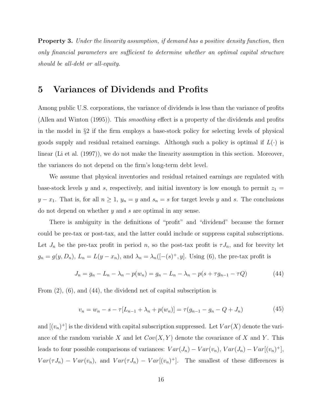**Property 3.** Under the linearity assumption, if demand has a positive density function, then only financial parameters are sufficient to determine whether an optimal capital structure should be all-debt or all-equity.

### 5 Variances of Dividends and Profits

Among public U.S. corporations, the variance of dividends is less than the variance of profits (Allen and Winton (1995)). This smoothing effect is a property of the dividends and profits in the model in §2 if the firm employs a base-stock policy for selecting levels of physical goods supply and residual retained earnings. Although such a policy is optimal if  $L(\cdot)$  is linear (Li et al. (1997)), we do not make the linearity assumption in this section. Moreover, the variances do not depend on the firm's long-term debt level.

We assume that physical inventories and residual retained earnings are regulated with base-stock levels y and s, respectively, and initial inventory is low enough to permit  $z_1 =$  $y - x_1$ . That is, for all  $n \ge 1$ ,  $y_n = y$  and  $s_n = s$  for target levels y and s. The conclusions do not depend on whether  $y$  and  $s$  are optimal in any sense.

There is ambiguity in the definitions of "profit" and "dividend" because the former could be pre-tax or post-tax, and the latter could include or suppress capital subscriptions. Let  $J_n$  be the pre-tax profit in period n, so the post-tax profit is  $\tau J_n$ , and for brevity let  $g_n = g(y, D_n)$ ,  $L_n = L(y - x_n)$ , and  $\lambda_n = \lambda_n \left( \lfloor -(s)^+ , y \rfloor \right)$ . Using (6), the pre-tax profit is

$$
J_n = g_n - L_n - \lambda_n - p(w_n) = g_n - L_n - \lambda_n - p(s + \tau g_{n-1} - \tau Q)
$$
\n(44)

From (2), (6), and (44), the dividend net of capital subscription is

$$
v_n = w_n - s - \tau [L_{n-1} + \lambda_n + p(w_n)] = \tau (g_{n-1} - g_n - Q + J_n)
$$
\n(45)

and  $[(v_n)^+]$  is the dividend with capital subscription suppressed. Let  $Var(X)$  denote the variance of the random variable X and let  $Cov(X, Y)$  denote the covariance of X and Y. This leads to four possible comparisons of variances:  $Var(J_n) - Var(v_n)$ ,  $Var(J_n) - Var[(v_n)^+]$ ,  $Var(\tau J_n) - Var(v_n)$ , and  $Var(\tau J_n) - Var(v_n)^+$ . The smallest of these differences is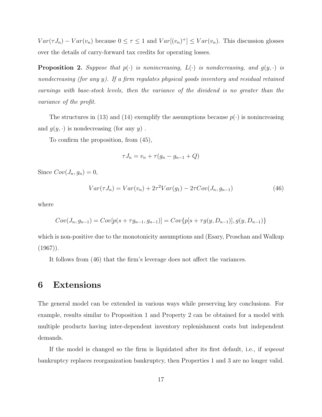$Var(\tau J_n) - Var(v_n)$  because  $0 \le \tau \le 1$  and  $Var[(v_n)^+] \le Var(v_n)$ . This discussion glosses over the details of carry-forward tax credits for operating losses.

**Proposition 2.** Suppose that  $p(\cdot)$  is nonincreasing,  $L(\cdot)$  is nondecreasing, and  $g(y, \cdot)$  is nondecreasing (for any y). If a firm regulates physical goods inventory and residual retained earnings with base-stock levels, then the variance of the dividend is no greater than the variance of the profit.

The structures in (13) and (14) exemplify the assumptions because  $p(\cdot)$  is nonincreasing and  $g(y, \cdot)$  is nondecreasing (for any y).

To confirm the proposition, from (45),

$$
\tau J_n = v_n + \tau (g_n - g_{n-1} + Q)
$$

Since  $Cov(J_n, g_n) = 0$ ,

$$
Var(\tau J_n) = Var(v_n) + 2\tau^2 Var(g_1) - 2\tau Cov(J_n, g_{n-1})
$$
\n(46)

where

$$
Cov(J_n, g_{n-1}) = Cov[p(s + \tau g_{n-1}, g_{n-1})] = Cov\{p[s + \tau g(y, D_{n-1})], g(y, D_{n-1})\}
$$

which is non-positive due to the monotonicity assumptions and (Esary, Proschan and Walkup  $(1967)$ .

It follows from (46) that the firm's leverage does not affect the variances.

### 6 Extensions

The general model can be extended in various ways while preserving key conclusions. For example, results similar to Proposition 1 and Property 2 can be obtained for a model with multiple products having inter-dependent inventory replenishment costs but independent demands.

If the model is changed so the firm is liquidated after its first default, i.e., if wipeout bankruptcy replaces reorganization bankruptcy, then Properties 1 and 3 are no longer valid.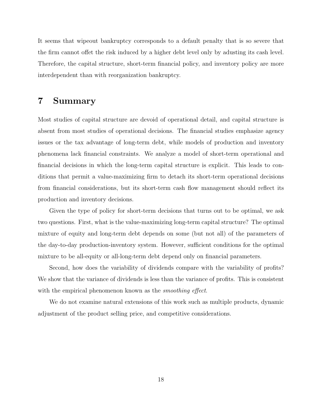It seems that wipeout bankruptcy corresponds to a default penalty that is so severe that the firm cannot offet the risk induced by a higher debt level only by adusting its cash level. Therefore, the capital structure, short-term financial policy, and inventory policy are more interdependent than with reorganization bankruptcy.

### 7 Summary

Most studies of capital structure are devoid of operational detail, and capital structure is absent from most studies of operational decisions. The financial studies emphasize agency issues or the tax advantage of long-term debt, while models of production and inventory phenomena lack financial constraints. We analyze a model of short-term operational and financial decisions in which the long-term capital structure is explicit. This leads to conditions that permit a value-maximizing firm to detach its short-term operational decisions from financial considerations, but its short-term cash flow management should reflect its production and inventory decisions.

Given the type of policy for short-term decisions that turns out to be optimal, we ask two questions. First, what is the value-maximizing long-term capital structure? The optimal mixture of equity and long-term debt depends on some (but not all) of the parameters of the day-to-day production-inventory system. However, sufficient conditions for the optimal mixture to be all-equity or all-long-term debt depend only on financial parameters.

Second, how does the variability of dividends compare with the variability of profits? We show that the variance of dividends is less than the variance of profits. This is consistent with the empirical phenomenon known as the *smoothing effect*.

We do not examine natural extensions of this work such as multiple products, dynamic adjustment of the product selling price, and competitive considerations.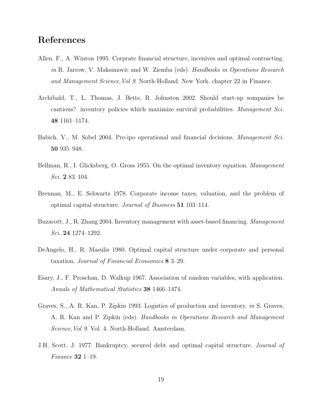### References

- Allen, F., A. Winton 1995. Corprate financial structure, incenives and optimal contracting. in R. Jarrow, V. Maksimovic and W. Ziemba (eds). Handbooks in Operations Research and Management Science,Vol 9. North-Holland. New York. chapter 22 in Finance.
- Archibald, T., L. Thomas, J. Betts, R. Johnston 2002. Should start-up sompanies be cautious? inventory policies which maximize surviral probabilities. Management Sci. 48 1161–1174.
- Babich, V., M. Sobel 2004. Pre-ipo operational and financial decisions. Management Sci. 50 935–948.
- Bellman, R., I. Glicksberg, O. Gross 1955. On the optimal inventory equation. Management Sci. 2 83–104.
- Brennan, M., E. Schwartz 1978. Corporate income taxes, valuation, and the problem of optimal capital structure. Journal of Business 51 103–114.
- Buzacott, J., R. Zhang 2004. Inventory management with asset-based financing. Management Sci. 24 1274–1292.
- DeAngelo, H., R. Masulis 1980. Optimal capital structure under corporate and personal taxation. Journal of Financial Economics 8 3–29.
- Esary, J., F. Proschan, D. Walkup 1967. Association of random variables, with application. Annals of Mathematical Statistics 38 1466–1474.
- Graves, S., A. R. Kan, P. Zipkin 1993. Logistics of production and inventory. in S. Graves, A. R. Kan and P. Zipkin (eds). Handbooks in Operations Research and Management Science,Vol 9. Vol. 4. North-Holland. Amsterdam.
- J.H. Scott, J. 1977. Bankruptcy, secured debt and optimal capital structure. Journal of Finance 32 1–19.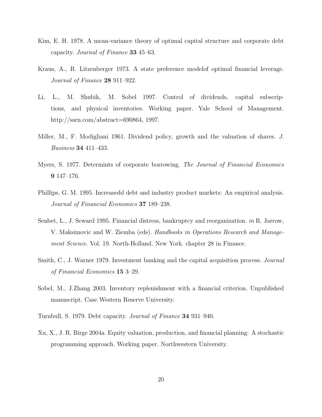- Kim, E. H. 1978. A mean-variance theory of optimal capital structure and corporate debt capacity. Journal of Finance 33 45–63.
- Kraus, A., R. Litzenberger 1973. A state preference modelof optimal financial leverage. Journal of Finance 28 911–922.
- Li, L., M. Shubik, M. Sobel 1997. Control of dividends, capital subscriptions, and physical inventories. Working paper. Yale School of Management. http://ssrn.com/abstract=690864, 1997.
- Miller, M., F. Modigliani 1961. Dividend policy, growth and the valuation of shares. J. Business 34 411–433.
- Myers, S. 1977. Determints of corporate borrowing. The Journal of Financial Economics 9 147–176.
- Phillips, G. M. 1995. Increasedd debt and industry product markets: An empirical analysis. Journal of Financial Economics 37 189–238.
- Senbet, L., J. Seward 1995. Financial distress, bankruptcy and reorganization. in R. Jarrow, V. Maksimovic and W. Ziemba (eds). Handbooks in Operations Research and Management Science. Vol. 19. North-Holland. New York. chapter 28 in Finance.
- Smith, C., J. Warner 1979. Investment banking and the capital acquisition process. *Journal* of Financial Economics 15 3–29.
- Sobel, M., J.Zhang 2003. Inventory replenishment with a financial criterion. Unpublished manuscript. Case Western Reserve University.
- Turnbull, S. 1979. Debt capacity. Journal of Finance 34 931–940.
- Xu, X., J. R. Birge 2004a. Equity valuation, production, and financial planning: A stochastic programming approach. Working paper. Northwestern University.